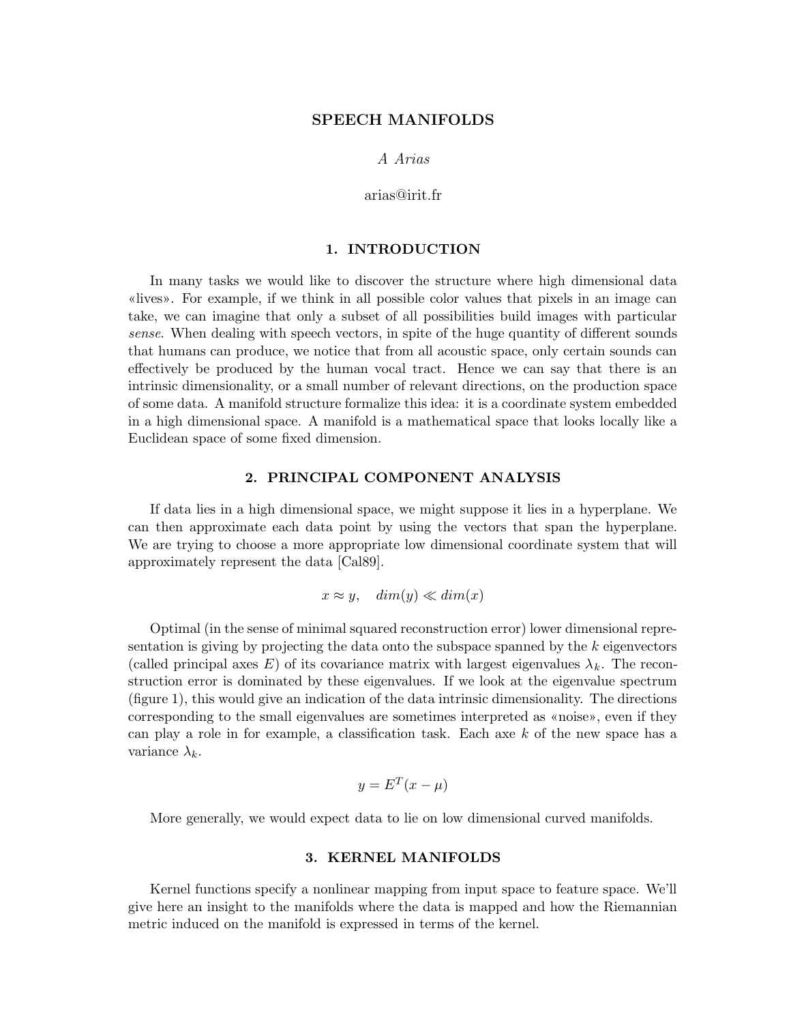## SPEECH MANIFOLDS

A Arias

arias@irit.fr

## 1. INTRODUCTION

In many tasks we would like to discover the structure where high dimensional data «lives». For example, if we think in all possible color values that pixels in an image can take, we can imagine that only a subset of all possibilities build images with particular sense. When dealing with speech vectors, in spite of the huge quantity of different sounds that humans can produce, we notice that from all acoustic space, only certain sounds can effectively be produced by the human vocal tract. Hence we can say that there is an intrinsic dimensionality, or a small number of relevant directions, on the production space of some data. A manifold structure formalize this idea: it is a coordinate system embedded in a high dimensional space. A manifold is a mathematical space that looks locally like a Euclidean space of some fixed dimension.

## 2. PRINCIPAL COMPONENT ANALYSIS

If data lies in a high dimensional space, we might suppose it lies in a hyperplane. We can then approximate each data point by using the vectors that span the hyperplane. We are trying to choose a more appropriate low dimensional coordinate system that will approximately represent the data [Cal89].

$$
x \approx y, \quad \dim(y) \ll \dim(x)
$$

Optimal (in the sense of minimal squared reconstruction error) lower dimensional representation is giving by projecting the data onto the subspace spanned by the  $k$  eigenvectors (called principal axes E) of its covariance matrix with largest eigenvalues  $\lambda_k$ . The reconstruction error is dominated by these eigenvalues. If we look at the eigenvalue spectrum (figure 1), this would give an indication of the data intrinsic dimensionality. The directions corresponding to the small eigenvalues are sometimes interpreted as «noise», even if they can play a role in for example, a classification task. Each axe k of the new space has a variance  $\lambda_k$ .

$$
y = E^T(x - \mu)
$$

More generally, we would expect data to lie on low dimensional curved manifolds.

#### 3. KERNEL MANIFOLDS

Kernel functions specify a nonlinear mapping from input space to feature space. We'll give here an insight to the manifolds where the data is mapped and how the Riemannian metric induced on the manifold is expressed in terms of the kernel.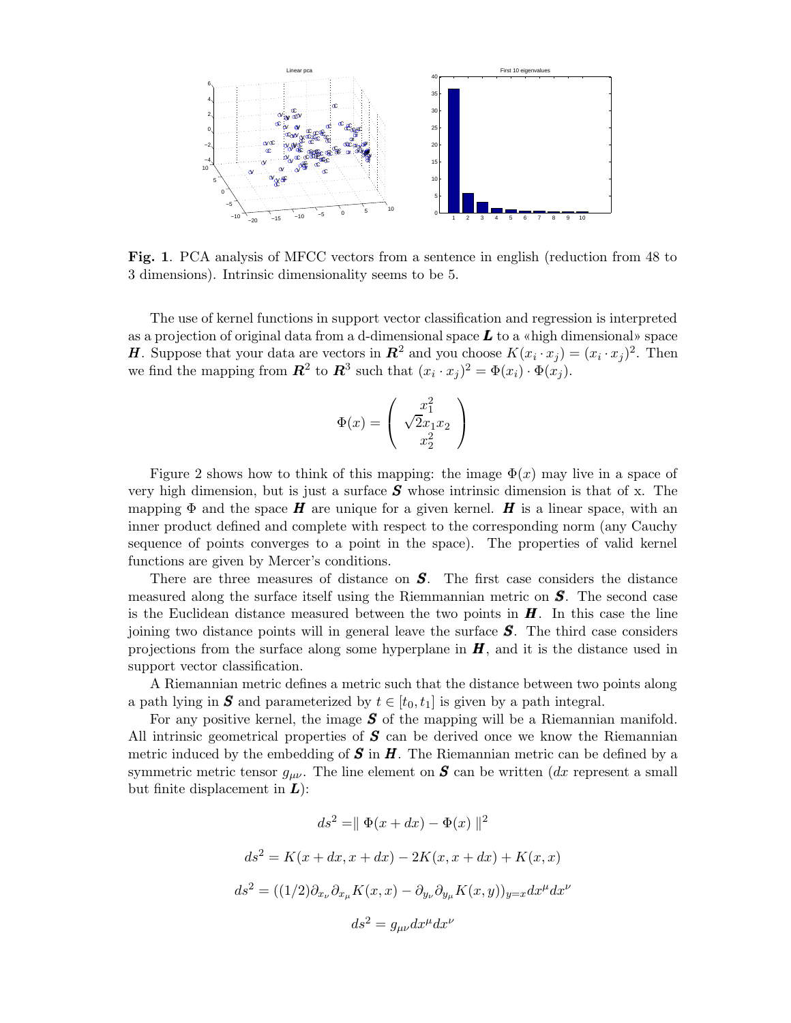

Fig. 1. PCA analysis of MFCC vectors from a sentence in english (reduction from 48 to 3 dimensions). Intrinsic dimensionality seems to be 5.

The use of kernel functions in support vector classification and regression is interpreted as a projection of original data from a d-dimensional space  $\boldsymbol{L}$  to a «high dimensional» space **H**. Suppose that your data are vectors in  $\mathbb{R}^2$  and you choose  $K(x_i \cdot x_j) = (x_i \cdot x_j)^2$ . Then we find the mapping from  $\mathbb{R}^2$  to  $\mathbb{R}^3$  such that  $(x_i \cdot x_j)^2 = \Phi(x_i) \cdot \Phi(x_j)$ .

$$
\Phi(x) = \begin{pmatrix} x_1^2 \\ \sqrt{2}x_1x_2 \\ x_2^2 \end{pmatrix}
$$

Figure 2 shows how to think of this mapping: the image  $\Phi(x)$  may live in a space of very high dimension, but is just a surface  $S$  whose intrinsic dimension is that of x. The mapping  $\Phi$  and the space **H** are unique for a given kernel. **H** is a linear space, with an inner product defined and complete with respect to the corresponding norm (any Cauchy sequence of points converges to a point in the space). The properties of valid kernel functions are given by Mercer's conditions.

There are three measures of distance on  $S$ . The first case considers the distance measured along the surface itself using the Riemmannian metric on  $S$ . The second case is the Euclidean distance measured between the two points in  $\boldsymbol{H}$ . In this case the line joining two distance points will in general leave the surface S. The third case considers projections from the surface along some hyperplane in  $\bm{H}$ , and it is the distance used in support vector classification.

A Riemannian metric defines a metric such that the distance between two points along a path lying in S and parameterized by  $t \in [t_0, t_1]$  is given by a path integral.

For any positive kernel, the image  $S$  of the mapping will be a Riemannian manifold. All intrinsic geometrical properties of  $S$  can be derived once we know the Riemannian metric induced by the embedding of  $S$  in  $H$ . The Riemannian metric can be defined by a symmetric metric tensor  $g_{\mu\nu}$ . The line element on **S** can be written (dx represent a small but finite displacement in  $\bm{L}$ :

$$
ds^2 = || \Phi(x + dx) - \Phi(x) ||^2
$$
  

$$
ds^2 = K(x + dx, x + dx) - 2K(x, x + dx) + K(x, x)
$$
  

$$
ds^2 = ((1/2)\partial_{x_\nu}\partial_{x_\mu}K(x, x) - \partial_{y_\nu}\partial_{y_\mu}K(x, y))_{y=x}dx^\mu dx^\nu
$$
  

$$
ds^2 = g_{\mu\nu}dx^\mu dx^\nu
$$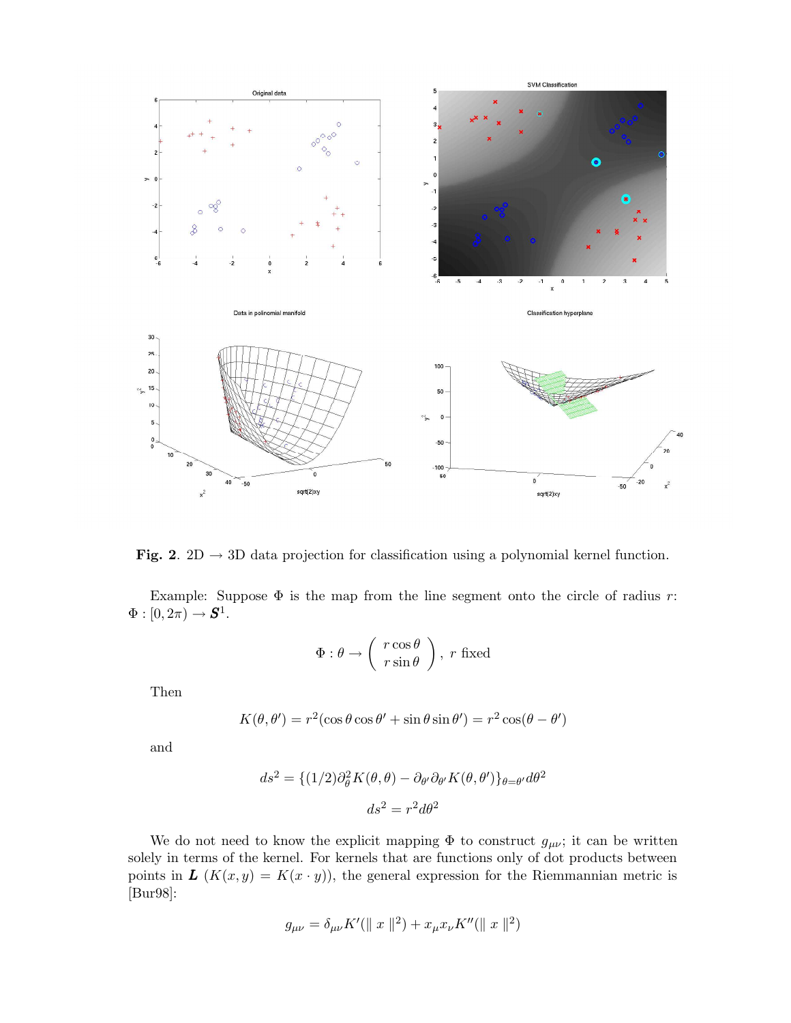

Fig. 2. 2D  $\rightarrow$  3D data projection for classification using a polynomial kernel function.

Example: Suppose  $\Phi$  is the map from the line segment onto the circle of radius r:  $\Phi:[0,2\pi)\rightarrow \mathbf{S}^1.$ 

$$
\Phi: \theta \to \left(\begin{array}{c} r\cos\theta \\ r\sin\theta \end{array}\right), \ r \text{ fixed}
$$

Then

$$
K(\theta, \theta') = r^2(\cos \theta \cos \theta' + \sin \theta \sin \theta') = r^2 \cos(\theta - \theta')
$$

and

$$
ds^{2} = \{(1/2)\partial_{\theta}^{2}K(\theta,\theta) - \partial_{\theta'}\partial_{\theta'}K(\theta,\theta')\}_{\theta=\theta'}d\theta^{2}
$$

$$
ds^{2} = r^{2}d\theta^{2}
$$

We do not need to know the explicit mapping  $\Phi$  to construct  $g_{\mu\nu}$ ; it can be written solely in terms of the kernel. For kernels that are functions only of dot products between points in  $\mathbf{L}$   $(K(x, y) = K(x \cdot y))$ , the general expression for the Riemmannian metric is [Bur98]:

$$
g_{\mu\nu} = \delta_{\mu\nu} K'(\|x\|^2) + x_{\mu} x_{\nu} K''(\|x\|^2)
$$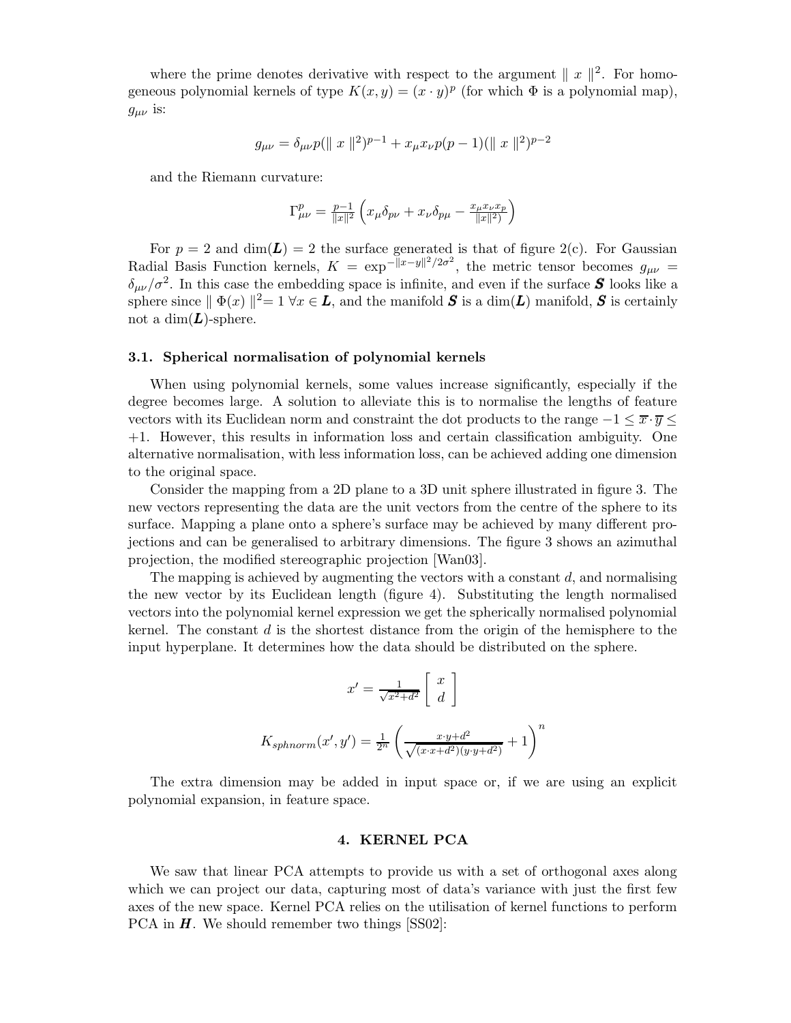where the prime denotes derivative with respect to the argument  $||x||^2$ . For homogeneous polynomial kernels of type  $K(x, y) = (x \cdot y)^p$  (for which  $\Phi$  is a polynomial map),  $g_{\mu\nu}$  is:

$$
g_{\mu\nu} = \delta_{\mu\nu} p(||x||^2)^{p-1} + x_{\mu} x_{\nu} p(p-1)(||x||^2)^{p-2}
$$

and the Riemann curvature:

$$
\Gamma^p_{\mu\nu}=\frac{p-1}{\|x\|^2}\left(x_\mu\delta_{p\nu}+x_\nu\delta_{p\mu}-\frac{x_\mu x_\nu x_p}{\|x\|^2}\right)
$$

For  $p = 2$  and  $\dim(L) = 2$  the surface generated is that of figure 2(c). For Gaussian Radial Basis Function kernels,  $K = \exp[-||x-y||^2/2\sigma^2]$ , the metric tensor becomes  $g_{\mu\nu}$  $\delta_{\mu\nu}/\sigma^2$ . In this case the embedding space is infinite, and even if the surface **S** looks like a sphere since  $|| \Phi(x) ||^2 = 1 \forall x \in L$ , and the manifold  $S$  is a dim(L) manifold, S is certainly not a dim $(L)$ -sphere.

#### 3.1. Spherical normalisation of polynomial kernels

When using polynomial kernels, some values increase significantly, especially if the degree becomes large. A solution to alleviate this is to normalise the lengths of feature vectors with its Euclidean norm and constraint the dot products to the range  $-1 \leq \overline{x} \cdot \overline{y} \leq$ +1. However, this results in information loss and certain classification ambiguity. One alternative normalisation, with less information loss, can be achieved adding one dimension to the original space.

Consider the mapping from a 2D plane to a 3D unit sphere illustrated in figure 3. The new vectors representing the data are the unit vectors from the centre of the sphere to its surface. Mapping a plane onto a sphere's surface may be achieved by many different projections and can be generalised to arbitrary dimensions. The figure 3 shows an azimuthal projection, the modified stereographic projection [Wan03].

The mapping is achieved by augmenting the vectors with a constant  $d$ , and normalising the new vector by its Euclidean length (figure 4). Substituting the length normalised vectors into the polynomial kernel expression we get the spherically normalised polynomial kernel. The constant  $d$  is the shortest distance from the origin of the hemisphere to the input hyperplane. It determines how the data should be distributed on the sphere.

$$
x' = \frac{1}{\sqrt{x^2 + d^2}} \begin{bmatrix} x \\ d \end{bmatrix}
$$

$$
K_{sphnorm}(x', y') = \frac{1}{2^n} \left( \frac{x \cdot y + d^2}{\sqrt{(x \cdot x + d^2)(y \cdot y + d^2)}} + 1 \right)^n
$$

The extra dimension may be added in input space or, if we are using an explicit polynomial expansion, in feature space.

## 4. KERNEL PCA

We saw that linear PCA attempts to provide us with a set of orthogonal axes along which we can project our data, capturing most of data's variance with just the first few axes of the new space. Kernel PCA relies on the utilisation of kernel functions to perform PCA in  $\bm{H}$ . We should remember two things [SS02]: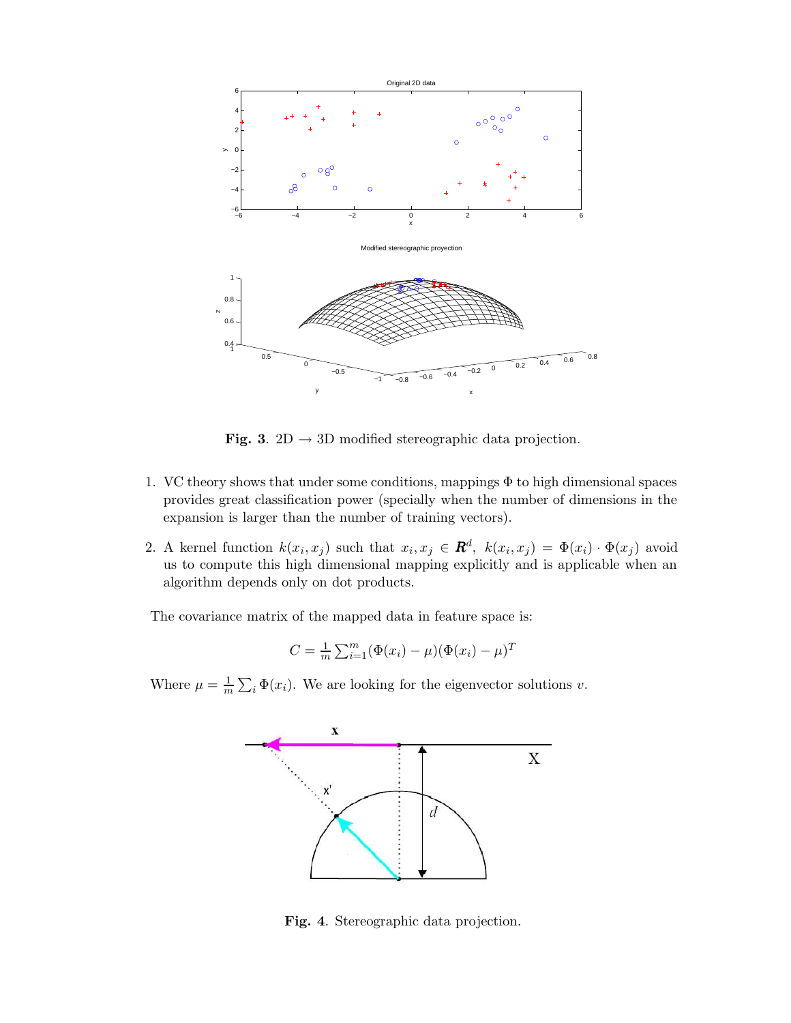

Fig. 3. 2D  $\rightarrow$  3D modified stereographic data projection.

- 1. VC theory shows that under some conditions, mappings  $\Phi$  to high dimensional spaces provides great classification power (specially when the number of dimensions in the expansion is larger than the number of training vectors).
- 2. A kernel function  $k(x_i, x_j)$  such that  $x_i, x_j \in \mathbf{R}^d$ ,  $k(x_i, x_j) = \Phi(x_i) \cdot \Phi(x_j)$  avoid us to compute this high dimensional mapping explicitly and is applicable when an algorithm depends only on dot products.

The covariance matrix of the mapped data in feature space is:

$$
C = \frac{1}{m} \sum_{i=1}^{m} (\Phi(x_i) - \mu)(\Phi(x_i) - \mu)^T
$$

Where  $\mu = \frac{1}{m} \sum_{i} \Phi(x_i)$ . We are looking for the eigenvector solutions v.



Fig. 4. Stereographic data projection.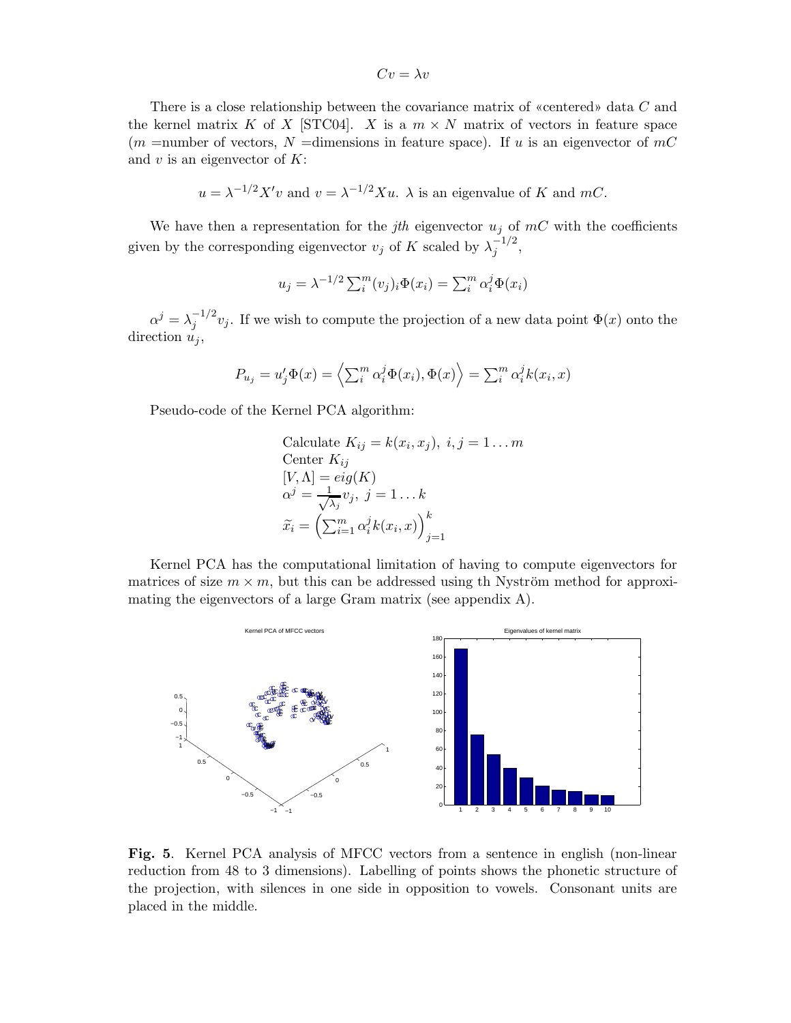$Cv = \lambda v$ 

There is a close relationship between the covariance matrix of «centered» data C and the kernel matrix K of X [STC04]. X is a  $m \times N$  matrix of vectors in feature space  $(m = number of vectors, N = dimensions in feature space)$ . If u is an eigenvector of mC and v is an eigenvector of  $K$ :

 $u = \lambda^{-1/2} X'v$  and  $v = \lambda^{-1/2} Xu$ .  $\lambda$  is an eigenvalue of K and mC.

We have then a representation for the jth eigenvector  $u_j$  of  $mC$  with the coefficients given by the corresponding eigenvector  $v_j$  of K scaled by  $\lambda_j^{-1/2}$ ,

$$
u_j = \lambda^{-1/2} \sum_i^m (v_j)_i \Phi(x_i) = \sum_i^m \alpha_i^j \Phi(x_i)
$$

 $\alpha^{j} = \lambda_{j}^{-1/2} v_{j}$ . If we wish to compute the projection of a new data point  $\Phi(x)$  onto the direction  $u_j$ ,

$$
P_{u_j} = u'_j \Phi(x) = \left\langle \sum_i^m \alpha_i^j \Phi(x_i), \Phi(x) \right\rangle = \sum_i^m \alpha_i^j k(x_i, x)
$$

Pseudo-code of the Kernel PCA algorithm:

Calculate 
$$
K_{ij} = k(x_i, x_j)
$$
,  $i, j = 1...m$   
Center  $K_{ij}$   
 $[V, \Lambda] = eig(K)$   
 $\alpha^j = \frac{1}{\sqrt{\lambda_j}} v_j$ ,  $j = 1...k$   
 $\widetilde{x}_i = \left(\sum_{i=1}^m \alpha_i^j k(x_i, x)\right)_{j=1}^k$ 

Kernel PCA has the computational limitation of having to compute eigenvectors for matrices of size  $m \times m$ , but this can be addressed using the Nyström method for approximating the eigenvectors of a large Gram matrix (see appendix A).



Fig. 5. Kernel PCA analysis of MFCC vectors from a sentence in english (non-linear reduction from 48 to 3 dimensions). Labelling of points shows the phonetic structure of the projection, with silences in one side in opposition to vowels. Consonant units are placed in the middle.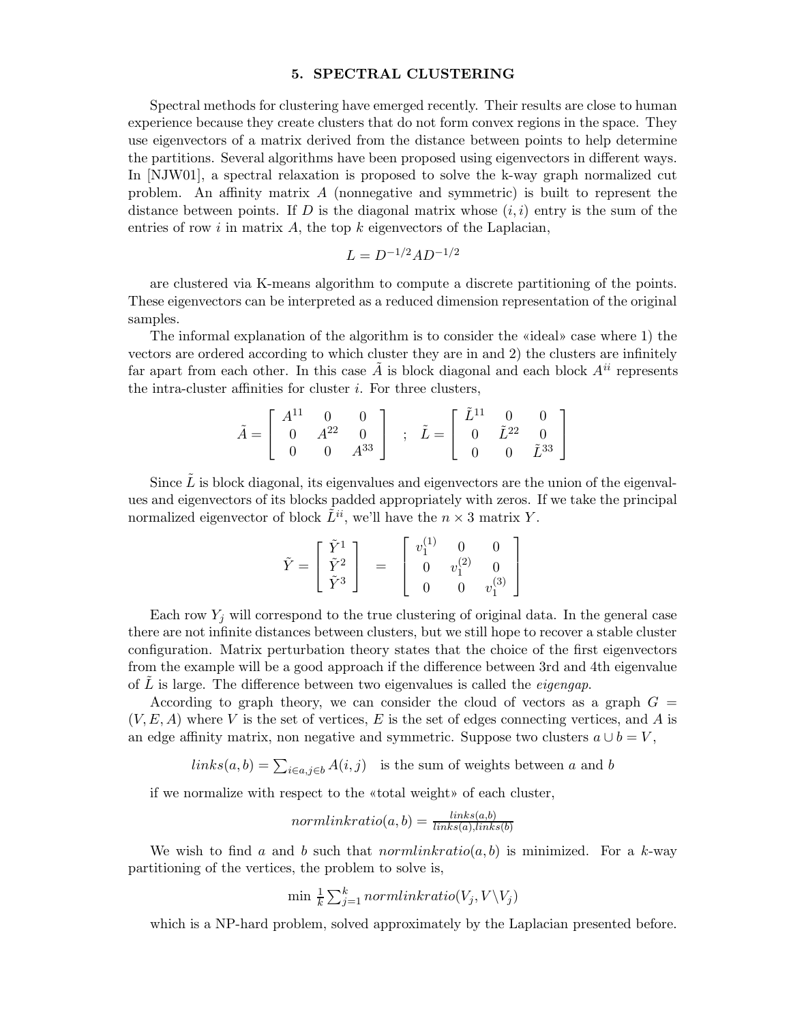#### 5. SPECTRAL CLUSTERING

Spectral methods for clustering have emerged recently. Their results are close to human experience because they create clusters that do not form convex regions in the space. They use eigenvectors of a matrix derived from the distance between points to help determine the partitions. Several algorithms have been proposed using eigenvectors in different ways. In [NJW01], a spectral relaxation is proposed to solve the k-way graph normalized cut problem. An affinity matrix A (nonnegative and symmetric) is built to represent the distance between points. If D is the diagonal matrix whose  $(i,i)$  entry is the sum of the entries of row  $i$  in matrix  $A$ , the top  $k$  eigenvectors of the Laplacian,

$$
L = D^{-1/2}AD^{-1/2}
$$

are clustered via K-means algorithm to compute a discrete partitioning of the points. These eigenvectors can be interpreted as a reduced dimension representation of the original samples.

The informal explanation of the algorithm is to consider the «ideal» case where 1) the vectors are ordered according to which cluster they are in and 2) the clusters are infinitely far apart from each other. In this case  $\tilde{A}$  is block diagonal and each block  $A^{ii}$  represents the intra-cluster affinities for cluster  $i$ . For three clusters,

$$
\tilde{A} = \begin{bmatrix} A^{11} & 0 & 0 \\ 0 & A^{22} & 0 \\ 0 & 0 & A^{33} \end{bmatrix} ; \quad \tilde{L} = \begin{bmatrix} \tilde{L}^{11} & 0 & 0 \\ 0 & \tilde{L}^{22} & 0 \\ 0 & 0 & \tilde{L}^{33} \end{bmatrix}
$$

Since  $\tilde{L}$  is block diagonal, its eigenvalues and eigenvectors are the union of the eigenvalues and eigenvectors of its blocks padded appropriately with zeros. If we take the principal normalized eigenvector of block  $\tilde{L}^{ii}$ , we'll have the  $n \times 3$  matrix Y.

$$
\tilde{Y} = \left[ \begin{array}{c} \tilde{Y}^1 \\ \tilde{Y}^2 \\ \tilde{Y}^3 \end{array} \right] \quad = \quad \left[ \begin{array}{ccc} v_1^{(1)} & 0 & 0 \\ 0 & v_1^{(2)} & 0 \\ 0 & 0 & v_1^{(3)} \end{array} \right]
$$

Each row  $Y_j$  will correspond to the true clustering of original data. In the general case there are not infinite distances between clusters, but we still hope to recover a stable cluster configuration. Matrix perturbation theory states that the choice of the first eigenvectors from the example will be a good approach if the difference between 3rd and 4th eigenvalue of  $L$  is large. The difference between two eigenvalues is called the *eigengap*.

According to graph theory, we can consider the cloud of vectors as a graph  $G =$  $(V, E, A)$  where V is the set of vertices, E is the set of edges connecting vertices, and A is an edge affinity matrix, non negative and symmetric. Suppose two clusters  $a \cup b = V$ ,

 $links(a, b) = \sum_{i \in a, j \in b} A(i, j)$  is the sum of weights between a and b

if we normalize with respect to the «total weight» of each cluster,

$$
normalinkratio(a, b) = \frac{links(a, b)}{links(a), links(b)}
$$

We wish to find a and b such that normlinkratio(a, b) is minimized. For a k-way partitioning of the vertices, the problem to solve is,

$$
\min \frac{1}{k} \sum_{j=1}^{k} normalinkratio(V_j, V \setminus V_j)
$$

which is a NP-hard problem, solved approximately by the Laplacian presented before.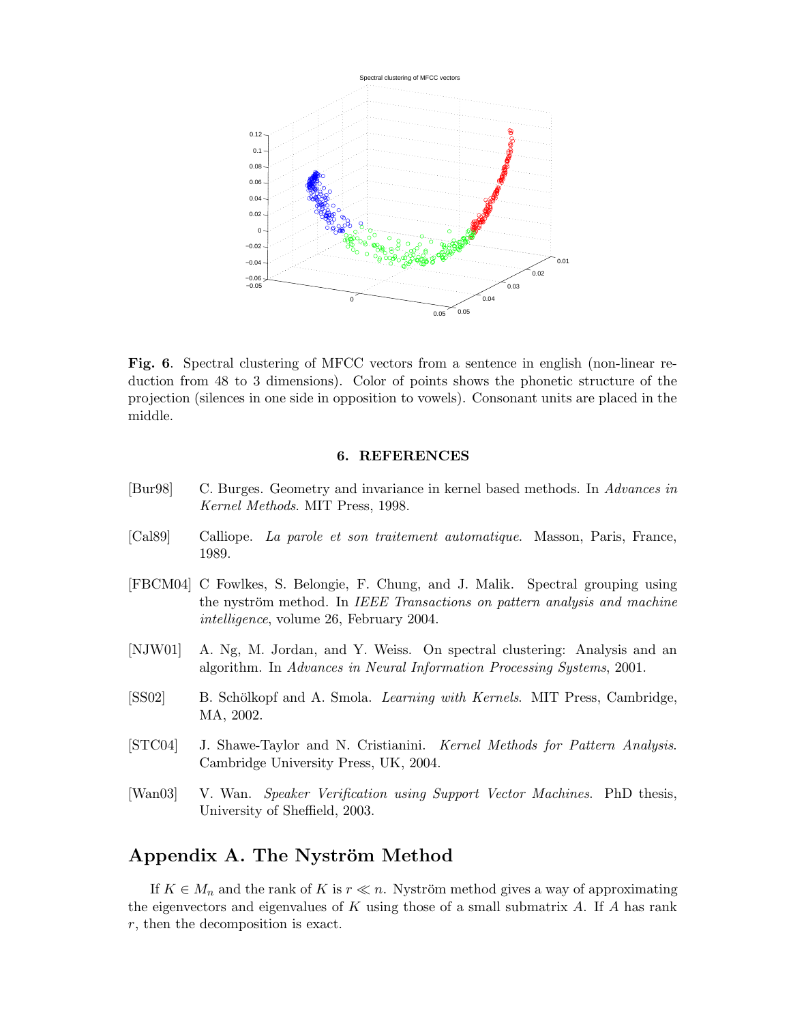

Fig. 6. Spectral clustering of MFCC vectors from a sentence in english (non-linear reduction from 48 to 3 dimensions). Color of points shows the phonetic structure of the projection (silences in one side in opposition to vowels). Consonant units are placed in the middle.

## 6. REFERENCES

- [Bur98] C. Burges. Geometry and invariance in kernel based methods. In Advances in Kernel Methods. MIT Press, 1998.
- [Cal89] Calliope. La parole et son traitement automatique. Masson, Paris, France, 1989.
- [FBCM04] C Fowlkes, S. Belongie, F. Chung, and J. Malik. Spectral grouping using the nyström method. In IEEE Transactions on pattern analysis and machine intelligence, volume 26, February 2004.
- [NJW01] A. Ng, M. Jordan, and Y. Weiss. On spectral clustering: Analysis and an algorithm. In Advances in Neural Information Processing Systems, 2001.
- [SS02] B. Schölkopf and A. Smola. *Learning with Kernels*. MIT Press, Cambridge, MA, 2002.
- [STC04] J. Shawe-Taylor and N. Cristianini. Kernel Methods for Pattern Analysis. Cambridge University Press, UK, 2004.
- [Wan03] V. Wan. Speaker Verification using Support Vector Machines. PhD thesis, University of Sheffield, 2003.

# Appendix A. The Nyström Method

If  $K \in M_n$  and the rank of K is  $r \ll n$ . Nyström method gives a way of approximating the eigenvectors and eigenvalues of  $K$  using those of a small submatrix  $A$ . If  $A$  has rank r, then the decomposition is exact.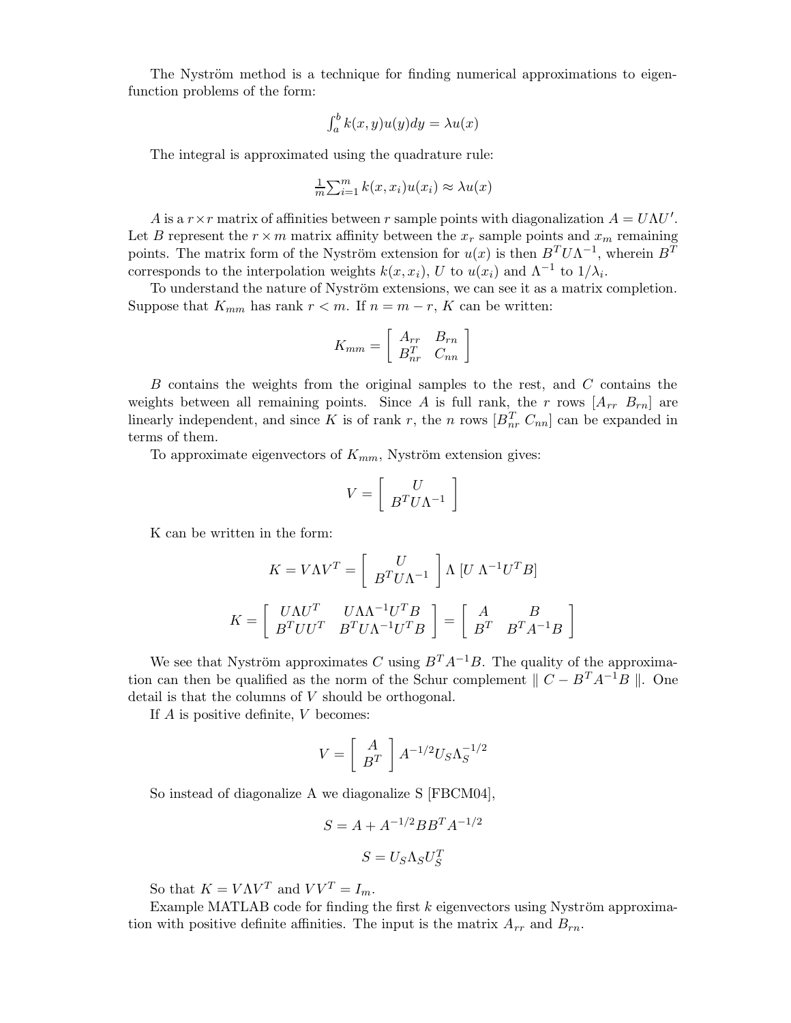The Nyström method is a technique for finding numerical approximations to eigenfunction problems of the form:

$$
\int_a^b k(x, y)u(y)dy = \lambda u(x)
$$

The integral is approximated using the quadrature rule:

$$
\frac{1}{m}\sum_{i=1}^{m}k(x,x_i)u(x_i) \approx \lambda u(x)
$$

A is a  $r \times r$  matrix of affinities between r sample points with diagonalization  $A = U \Lambda U'$ . Let B represent the  $r \times m$  matrix affinity between the  $x_r$  sample points and  $x_m$  remaining points. The matrix form of the Nyström extension for  $u(x)$  is then  $B<sup>T</sup> U \Lambda<sup>-1</sup>$ , wherein  $B<sup>T</sup>$ corresponds to the interpolation weights  $k(x, x_i)$ , U to  $u(x_i)$  and  $\Lambda^{-1}$  to  $1/\lambda_i$ .

To understand the nature of Nyström extensions, we can see it as a matrix completion. Suppose that  $K_{mm}$  has rank  $r < m$ . If  $n = m - r$ , K can be written:

$$
K_{mm} = \left[ \begin{array}{cc} A_{rr} & B_{rn} \\ B_{nr}^T & C_{nn} \end{array} \right]
$$

B contains the weights from the original samples to the rest, and C contains the weights between all remaining points. Since A is full rank, the r rows  $[A_{rr}, B_{rn}]$  are linearly independent, and since K is of rank r, the n rows  $[B_{nr}^T C_{nn}]$  can be expanded in terms of them.

To approximate eigenvectors of  $K_{mm}$ , Nyström extension gives:

$$
V = \left[ \begin{array}{c} U \\ B^T U \Lambda^{-1} \end{array} \right]
$$

K can be written in the form:

$$
K = V\Lambda V^T = \begin{bmatrix} U \\ B^T U \Lambda^{-1} \end{bmatrix} \Lambda \begin{bmatrix} U & \Lambda^{-1} U^T B \end{bmatrix}
$$

$$
K = \begin{bmatrix} U\Lambda U^T & U\Lambda \Lambda^{-1} U^T B \\ B^T U U^T & B^T U \Lambda^{-1} U^T B \end{bmatrix} = \begin{bmatrix} A & B \\ B^T & B^T A^{-1} B \end{bmatrix}
$$

We see that Nyström approximates C using  $B<sup>T</sup>A<sup>-1</sup>B$ . The quality of the approximation can then be qualified as the norm of the Schur complement  $\| C - B^{T} A^{-1} B \|$ . One detail is that the columns of  $V$  should be orthogonal.

If  $A$  is positive definite,  $V$  becomes:

$$
V = \left[ \begin{array}{c} A \\ B^T \end{array} \right] A^{-1/2} U_S \Lambda_S^{-1/2}
$$

So instead of diagonalize A we diagonalize S [FBCM04],

$$
S = A + A^{-1/2} B B^T A^{-1/2}
$$

$$
S = U_S \Lambda_S U_S^T
$$

So that  $K = V\Lambda V^T$  and  $VV^T = I_m$ .

Example MATLAB code for finding the first  $k$  eigenvectors using Nyström approximation with positive definite affinities. The input is the matrix  $A_{rr}$  and  $B_{rn}$ .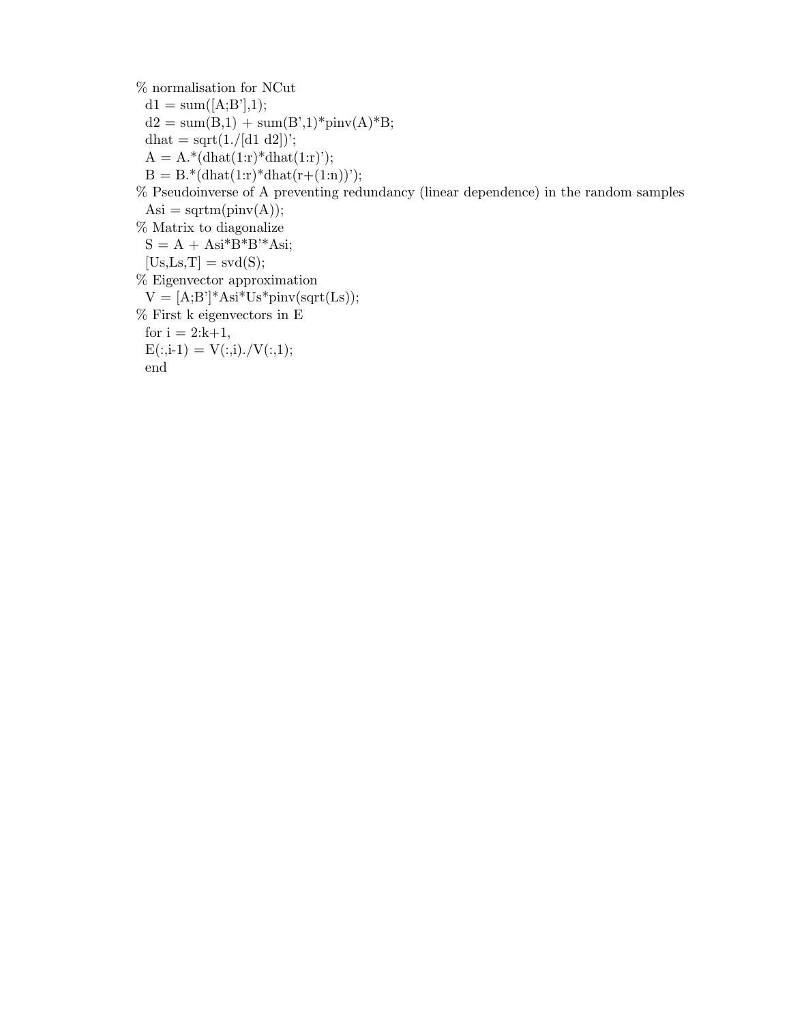$\%$  normalisation for NCut  $d1 = sum([A;B'],1);$  $d2 = sum(B,1) + sum(B',1)^*pinv(A)^*B;$  $dhat = sqrt(1./[d1 d2])$ ;  $A = A.*(dhat(1:r)*dhat(1:r))$ ;  $B = B.*(dhat(1:r)*dhat(r+(1:n))');$ % Pseudoinverse of A preventing redundancy (linear dependence) in the random samples  $\text{Asi} = \text{sqrt}(\text{pinv}(A));$ % Matrix to diagonalize  $S = A + Asi*B*B*Asi;$  $[Us, Ls, T] = svd(S);$ % Eigenvector approximation  $V = [A;B']^*Asi^*Us^*pinv(sqrt(Ls));$ % First k eigenvectors in E for  $i = 2:k+1$ ,  $E(:,i-1) = V(:,i)$ ./ $V(:,1);$ end